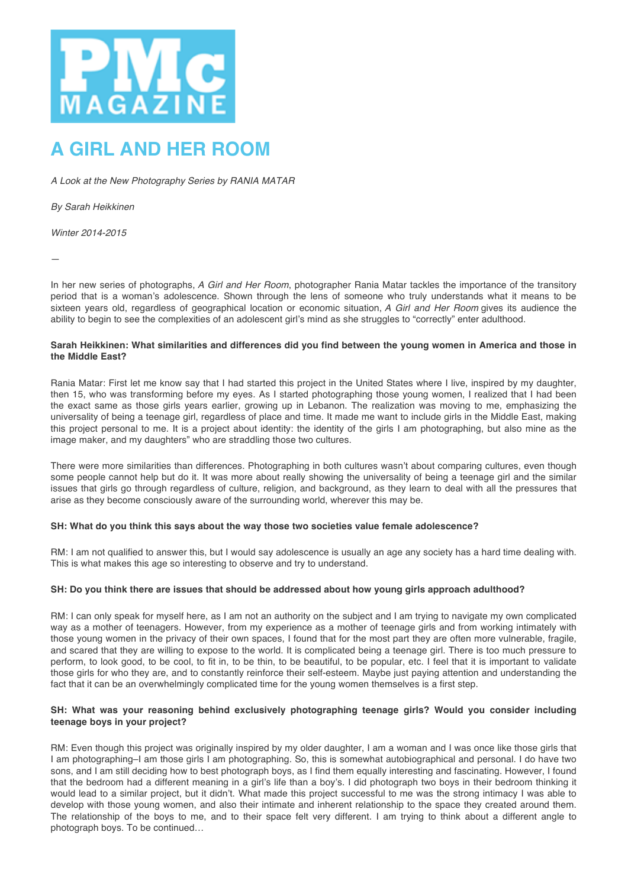

# **A GIRL AND HER ROOM**

*A Look at the New Photography Series by RANIA MATAR*

*By Sarah Heikkinen*

*Winter 2014-2015*

—

In her new series of photographs, *A Girl and Her Room*, photographer Rania Matar tackles the importance of the transitory period that is a woman's adolescence. Shown through the lens of someone who truly understands what it means to be sixteen years old, regardless of geographical location or economic situation, *A Girl and Her Room* gives its audience the ability to begin to see the complexities of an adolescent girl's mind as she struggles to "correctly" enter adulthood.

## **Sarah Heikkinen: What similarities and differences did you find between the young women in America and those in the Middle East?**

Rania Matar: First let me know say that I had started this project in the United States where I live, inspired by my daughter, then 15, who was transforming before my eyes. As I started photographing those young women, I realized that I had been the exact same as those girls years earlier, growing up in Lebanon. The realization was moving to me, emphasizing the universality of being a teenage girl, regardless of place and time. It made me want to include girls in the Middle East, making this project personal to me. It is a project about identity: the identity of the girls I am photographing, but also mine as the image maker, and my daughters" who are straddling those two cultures.

There were more similarities than differences. Photographing in both cultures wasn't about comparing cultures, even though some people cannot help but do it. It was more about really showing the universality of being a teenage girl and the similar issues that girls go through regardless of culture, religion, and background, as they learn to deal with all the pressures that arise as they become consciously aware of the surrounding world, wherever this may be.

#### **SH: What do you think this says about the way those two societies value female adolescence?**

RM: I am not qualified to answer this, but I would say adolescence is usually an age any society has a hard time dealing with. This is what makes this age so interesting to observe and try to understand.

# **SH: Do you think there are issues that should be addressed about how young girls approach adulthood?**

RM: I can only speak for myself here, as I am not an authority on the subject and I am trying to navigate my own complicated way as a mother of teenagers. However, from my experience as a mother of teenage girls and from working intimately with those young women in the privacy of their own spaces, I found that for the most part they are often more vulnerable, fragile, and scared that they are willing to expose to the world. It is complicated being a teenage girl. There is too much pressure to perform, to look good, to be cool, to fit in, to be thin, to be beautiful, to be popular, etc. I feel that it is important to validate those girls for who they are, and to constantly reinforce their self-esteem. Maybe just paying attention and understanding the fact that it can be an overwhelmingly complicated time for the young women themselves is a first step.

#### **SH: What was your reasoning behind exclusively photographing teenage girls? Would you consider including teenage boys in your project?**

RM: Even though this project was originally inspired by my older daughter, I am a woman and I was once like those girls that I am photographing–I am those girls I am photographing. So, this is somewhat autobiographical and personal. I do have two sons, and I am still deciding how to best photograph boys, as I find them equally interesting and fascinating. However, I found that the bedroom had a different meaning in a girl's life than a boy's. I did photograph two boys in their bedroom thinking it would lead to a similar project, but it didn't. What made this project successful to me was the strong intimacy I was able to develop with those young women, and also their intimate and inherent relationship to the space they created around them. The relationship of the boys to me, and to their space felt very different. I am trying to think about a different angle to photograph boys. To be continued…